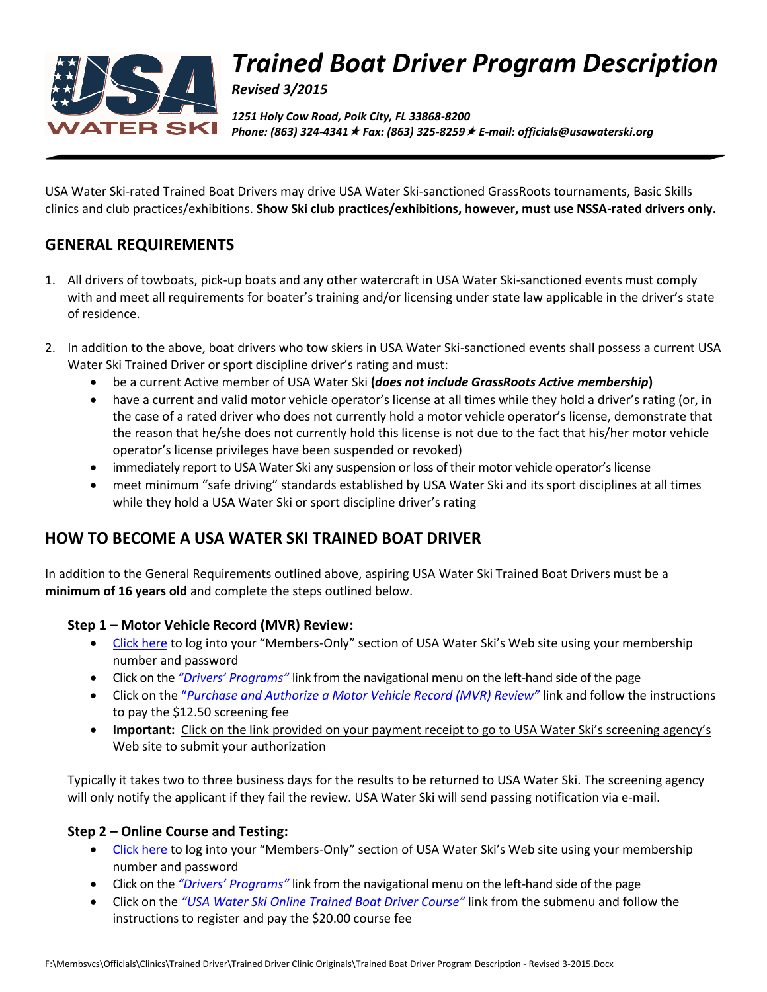

# *Trained Boat Driver Program Description*

*Revised 3/2015*

*1251 Holy Cow Road, Polk City, FL 33868-8200 Phone: (863) 324-4341 Fax: (863) 325-8259 E-mail: officials@usawaterski.org*

USA Water Ski-rated Trained Boat Drivers may drive USA Water Ski-sanctioned GrassRoots tournaments, Basic Skills clinics and club practices/exhibitions. **Show Ski club practices/exhibitions, however, must use NSSA-rated drivers only.**

## **GENERAL REQUIREMENTS**

- 1. All drivers of towboats, pick-up boats and any other watercraft in USA Water Ski-sanctioned events must comply with and meet all requirements for boater's training and/or licensing under state law applicable in the driver's state of residence.
- 2. In addition to the above, boat drivers who tow skiers in USA Water Ski-sanctioned events shall possess a current USA Water Ski Trained Driver or sport discipline driver's rating and must:
	- be a current Active member of USA Water Ski **(***does not include GrassRoots Active membership***)**
	- have a current and valid motor vehicle operator's license at all times while they hold a driver's rating (or, in the case of a rated driver who does not currently hold a motor vehicle operator's license, demonstrate that the reason that he/she does not currently hold this license is not due to the fact that his/her motor vehicle operator's license privileges have been suspended or revoked)
	- immediately report to USA Water Ski any suspension or loss of their motor vehicle operator's license
	- meet minimum "safe driving" standards established by USA Water Ski and its sport disciplines at all times while they hold a USA Water Ski or sport discipline driver's rating

## **HOW TO BECOME A USA WATER SKI TRAINED BOAT DRIVER**

In addition to the General Requirements outlined above, aspiring USA Water Ski Trained Boat Drivers must be a **minimum of 16 years old** and complete the steps outlined below.

#### **Step 1 – Motor Vehicle Record (MVR) Review:**

- [Click here](https://www.usawaterski.org/members/login/index.asp) to log into your "Members-Only" section of USA Water Ski's Web site using your membership number and password
- Click on the *"Drivers' Programs"* link from the navigational menu on the left-hand side of the page
- Click on the "*Purchase and Authorize a Motor Vehicle Record (MVR) Review"* link and follow the instructions to pay the \$12.50 screening fee
- **Important:** Click on the link provided on your payment receipt to go to USA Water Ski's screening agency's Web site to submit your authorization

Typically it takes two to three business days for the results to be returned to USA Water Ski. The screening agency will only notify the applicant if they fail the review. USA Water Ski will send passing notification via e-mail.

#### **Step 2 – Online Course and Testing:**

- [Click here](https://www.usawaterski.org/members/login/index.asp) to log into your "Members-Only" section of USA Water Ski's Web site using your membership number and password
- Click on the *"Drivers' Programs"* link from the navigational menu on the left-hand side of the page
- Click on the *"USA Water Ski Online Trained Boat Driver Course"* link from the submenu and follow the instructions to register and pay the \$20.00 course fee